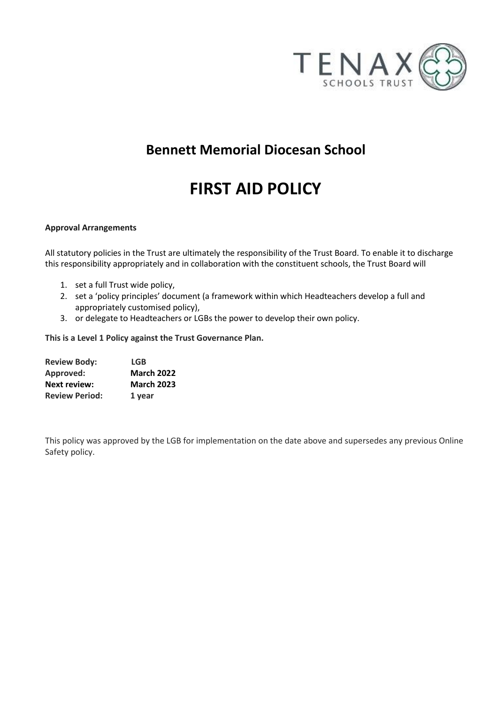

# **Bennett Memorial Diocesan School**

# **FIRST AID POLICY**

#### **Approval Arrangements**

All statutory policies in the Trust are ultimately the responsibility of the Trust Board. To enable it to discharge this responsibility appropriately and in collaboration with the constituent schools, the Trust Board will

- 1. set a full Trust wide policy,
- 2. set a 'policy principles' document (a framework within which Headteachers develop a full and appropriately customised policy),
- 3. or delegate to Headteachers or LGBs the power to develop their own policy.

**This is a Level 1 Policy against the Trust Governance Plan.**

| <b>Review Body:</b>   | <b>LGB</b>        |
|-----------------------|-------------------|
| Approved:             | <b>March 2022</b> |
| <b>Next review:</b>   | <b>March 2023</b> |
| <b>Review Period:</b> | 1 year            |

This policy was approved by the LGB for implementation on the date above and supersedes any previous Online Safety policy.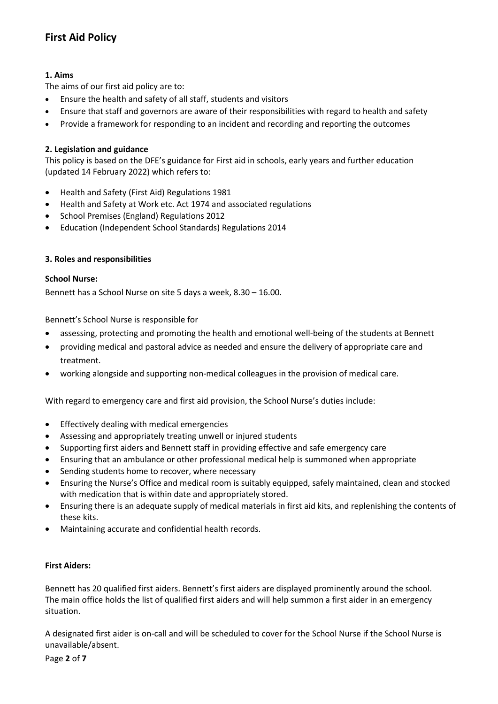# **First Aid Policy**

# **1. Aims**

The aims of our first aid policy are to:

- Ensure the health and safety of all staff, students and visitors
- Ensure that staff and governors are aware of their responsibilities with regard to health and safety
- Provide a framework for responding to an incident and recording and reporting the outcomes

#### **2. Legislation and guidance**

This policy is based on the DFE's guidance for First aid in schools, early years and further education (updated 14 February 2022) which refers to:

- [Health and Safety \(First Aid\) Regulations 1981](https://www.legislation.gov.uk/uksi/1981/917/made)
- [Health and Safety at Work etc. Act 1974 and associated regulations](https://www.legislation.gov.uk/ukpga/1974/37/contents)
- [School Premises \(England\) Regulations 2012](https://www.legislation.gov.uk/uksi/2012/1943/contents/made)
- [Education \(Independent School Standards\) Regulations 2014](https://www.legislation.gov.uk/uksi/2014/3283/made)

#### **3. Roles and responsibilities**

#### **School Nurse:**

Bennett has a School Nurse on site 5 days a week, 8.30 – 16.00.

Bennett's School Nurse is responsible for

- assessing, protecting and promoting the health and emotional well-being of the students at Bennett
- providing medical and pastoral advice as needed and ensure the delivery of appropriate care and treatment.
- working alongside and supporting non-medical colleagues in the provision of medical care.

With regard to emergency care and first aid provision, the School Nurse's duties include:

- Effectively dealing with medical emergencies
- Assessing and appropriately treating unwell or injured students
- Supporting first aiders and Bennett staff in providing effective and safe emergency care
- Ensuring that an ambulance or other professional medical help is summoned when appropriate
- Sending students home to recover, where necessary
- Ensuring the Nurse's Office and medical room is suitably equipped, safely maintained, clean and stocked with medication that is within date and appropriately stored.
- Ensuring there is an adequate supply of medical materials in first aid kits, and replenishing the contents of these kits.
- Maintaining accurate and confidential health records.

#### **First Aiders:**

Bennett has 20 qualified first aiders. Bennett's first aiders are displayed prominently around the school. The main office holds the list of qualified first aiders and will help summon a first aider in an emergency situation.

A designated first aider is on-call and will be scheduled to cover for the School Nurse if the School Nurse is unavailable/absent.

Page **2** of **7**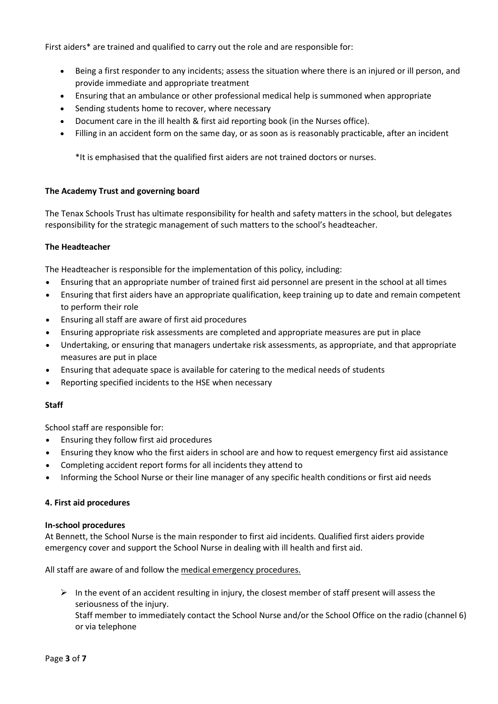First aiders\* are trained and qualified to carry out the role and are responsible for:

- Being a first responder to any incidents; assess the situation where there is an injured or ill person, and provide immediate and appropriate treatment
- Ensuring that an ambulance or other professional medical help is summoned when appropriate
- Sending students home to recover, where necessary
- Document care in the ill health & first aid reporting book (in the Nurses office).
- Filling in an accident form on the same day, or as soon as is reasonably practicable, after an incident

\*It is emphasised that the qualified first aiders are not trained doctors or nurses.

#### **The Academy Trust and governing board**

The Tenax Schools Trust has ultimate responsibility for health and safety matters in the school, but delegates responsibility for the strategic management of such matters to the school's headteacher.

#### **The Headteacher**

The Headteacher is responsible for the implementation of this policy, including:

- Ensuring that an appropriate number of trained first aid personnel are present in the school at all times
- Ensuring that first aiders have an appropriate qualification, keep training up to date and remain competent to perform their role
- Ensuring all staff are aware of first aid procedures
- Ensuring appropriate risk assessments are completed and appropriate measures are put in place
- Undertaking, or ensuring that managers undertake risk assessments, as appropriate, and that appropriate measures are put in place
- Ensuring that adequate space is available for catering to the medical needs of students
- Reporting specified incidents to the HSE when necessary

#### **Staff**

School staff are responsible for:

- Ensuring they follow first aid procedures
- Ensuring they know who the first aiders in school are and how to request emergency first aid assistance
- Completing accident report forms for all incidents they attend to
- Informing the School Nurse or their line manager of any specific health conditions or first aid needs

#### **4. First aid procedures**

#### **In-school procedures**

At Bennett, the School Nurse is the main responder to first aid incidents. Qualified first aiders provide emergency cover and support the School Nurse in dealing with ill health and first aid.

All staff are aware of and follow the medical emergency procedures.

 $\triangleright$  In the event of an accident resulting in injury, the closest member of staff present will assess the seriousness of the injury.

Staff member to immediately contact the School Nurse and/or the School Office on the radio (channel 6) or via telephone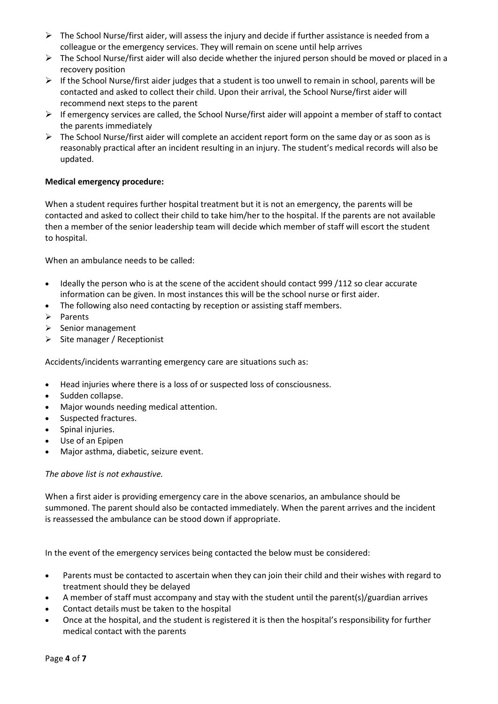- ➢ The School Nurse/first aider, will assess the injury and decide if further assistance is needed from a colleague or the emergency services. They will remain on scene until help arrives
- $\triangleright$  The School Nurse/first aider will also decide whether the injured person should be moved or placed in a recovery position
- $\triangleright$  If the School Nurse/first aider judges that a student is too unwell to remain in school, parents will be contacted and asked to collect their child. Upon their arrival, the School Nurse/first aider will recommend next steps to the parent
- ➢ If emergency services are called, the School Nurse/first aider will appoint a member of staff to contact the parents immediately
- $\triangleright$  The School Nurse/first aider will complete an accident report form on the same day or as soon as is reasonably practical after an incident resulting in an injury. The student's medical records will also be updated.

# **Medical emergency procedure:**

When a student requires further hospital treatment but it is not an emergency, the parents will be contacted and asked to collect their child to take him/her to the hospital. If the parents are not available then a member of the senior leadership team will decide which member of staff will escort the student to hospital.

When an ambulance needs to be called:

- Ideally the person who is at the scene of the accident should contact 999 /112 so clear accurate information can be given. In most instances this will be the school nurse or first aider.
- The following also need contacting by reception or assisting staff members.
- ➢ Parents
- ➢ Senior management
- $\triangleright$  Site manager / Receptionist

Accidents/incidents warranting emergency care are situations such as:

- Head injuries where there is a loss of or suspected loss of consciousness.
- Sudden collapse.
- Major wounds needing medical attention.
- Suspected fractures.
- Spinal injuries.
- Use of an Epipen
- Major asthma, diabetic, seizure event.

*The above list is not exhaustive.*

When a first aider is providing emergency care in the above scenarios, an ambulance should be summoned. The parent should also be contacted immediately. When the parent arrives and the incident is reassessed the ambulance can be stood down if appropriate.

In the event of the emergency services being contacted the below must be considered:

- Parents must be contacted to ascertain when they can join their child and their wishes with regard to treatment should they be delayed
- A member of staff must accompany and stay with the student until the parent(s)/guardian arrives
- Contact details must be taken to the hospital
- Once at the hospital, and the student is registered it is then the hospital's responsibility for further medical contact with the parents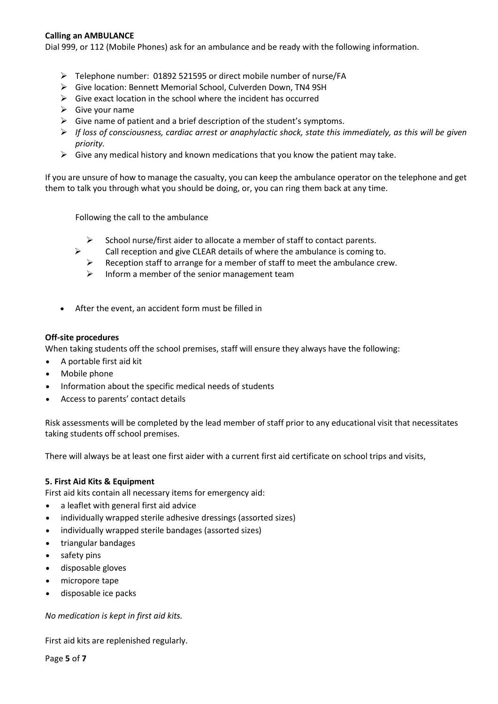#### **Calling an AMBULANCE**

Dial 999, or 112 (Mobile Phones) ask for an ambulance and be ready with the following information.

- ➢ Telephone number: 01892 521595 or direct mobile number of nurse/FA
- ➢ Give location: Bennett Memorial School, Culverden Down, TN4 9SH
- $\triangleright$  Give exact location in the school where the incident has occurred
- $\triangleright$  Give your name
- $\triangleright$  Give name of patient and a brief description of the student's symptoms.
- ➢ *If loss of consciousness, cardiac arrest or anaphylactic shock, state this immediately, as this will be given priority.*
- $\triangleright$  Give any medical history and known medications that you know the patient may take.

If you are unsure of how to manage the casualty, you can keep the ambulance operator on the telephone and get them to talk you through what you should be doing, or, you can ring them back at any time.

Following the call to the ambulance

- $\triangleright$  School nurse/first aider to allocate a member of staff to contact parents.
- $\triangleright$  Call reception and give CLEAR details of where the ambulance is coming to.
	- $\triangleright$  Reception staff to arrange for a member of staff to meet the ambulance crew.
	- $\triangleright$  Inform a member of the senior management team
- After the event, an accident form must be filled in

#### **Off-site procedures**

When taking students off the school premises, staff will ensure they always have the following:

- A portable first aid kit
- Mobile phone
- Information about the specific medical needs of students
- Access to parents' contact details

Risk assessments will be completed by the lead member of staff prior to any educational visit that necessitates taking students off school premises.

There will always be at least one first aider with a current first aid certificate on school trips and visits,

#### **5. First Aid Kits & Equipment**

First aid kits contain all necessary items for emergency aid:

- a leaflet with general first aid advice
- individually wrapped sterile adhesive dressings (assorted sizes)
- individually wrapped sterile bandages (assorted sizes)
- triangular bandages
- safety pins
- disposable gloves
- micropore tape
- disposable ice packs

*No medication is kept in first aid kits.*

First aid kits are replenished regularly.

Page **5** of **7**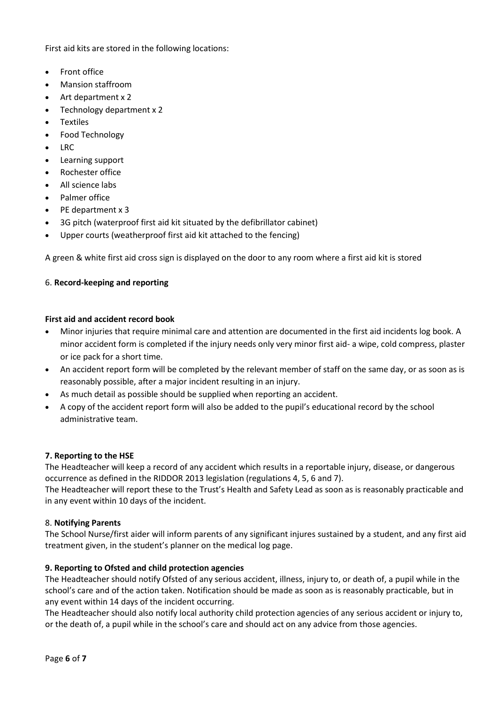First aid kits are stored in the following locations:

- Front office
- Mansion staffroom
- Art department x 2
- Technology department x 2
- **Textiles**
- Food Technology
- LRC
- Learning support
- Rochester office
- All science labs
- Palmer office
- PE department x 3
- 3G pitch (waterproof first aid kit situated by the defibrillator cabinet)
- Upper courts (weatherproof first aid kit attached to the fencing)

A green & white first aid cross sign is displayed on the door to any room where a first aid kit is stored

# 6. **Record-keeping and reporting**

#### **First aid and accident record book**

- Minor injuries that require minimal care and attention are documented in the first aid incidents log book. A minor accident form is completed if the injury needs only very minor first aid- a wipe, cold compress, plaster or ice pack for a short time.
- An accident report form will be completed by the relevant member of staff on the same day, or as soon as is reasonably possible, after a major incident resulting in an injury.
- As much detail as possible should be supplied when reporting an accident.
- A copy of the accident report form will also be added to the pupil's educational record by the school administrative team.

#### **7. Reporting to the HSE**

The Headteacher will keep a record of any accident which results in a reportable injury, disease, or dangerous occurrence as defined in the RIDDOR 2013 legislation (regulations 4, 5, 6 and 7).

The Headteacher will report these to the Trust's Health and Safety Lead as soon as is reasonably practicable and in any event within 10 days of the incident.

#### 8. **Notifying Parents**

The School Nurse/first aider will inform parents of any significant injures sustained by a student, and any first aid treatment given, in the student's planner on the medical log page.

# **9. Reporting to Ofsted and child protection agencies**

The Headteacher should notify Ofsted of any serious accident, illness, injury to, or death of, a pupil while in the school's care and of the action taken. Notification should be made as soon as is reasonably practicable, but in any event within 14 days of the incident occurring.

The Headteacher should also notify local authority child protection agencies of any serious accident or injury to, or the death of, a pupil while in the school's care and should act on any advice from those agencies.